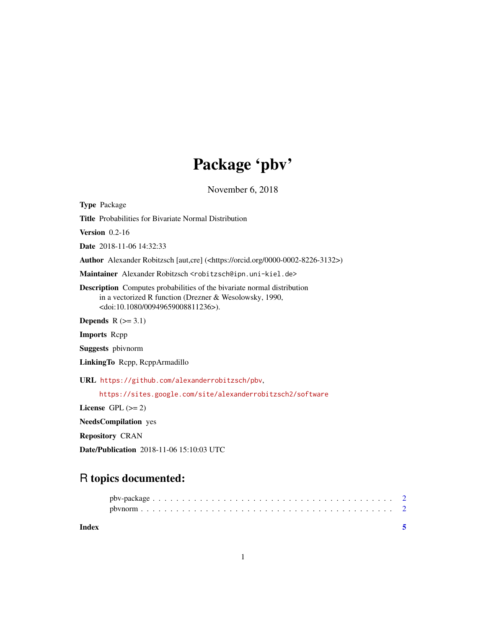## Package 'pbv'

November 6, 2018

<span id="page-0-0"></span>Type Package

Title Probabilities for Bivariate Normal Distribution

**Version** 0.2-16

Date 2018-11-06 14:32:33

Author Alexander Robitzsch [aut,cre] (<https://orcid.org/0000-0002-8226-3132>)

Maintainer Alexander Robitzsch <robitzsch@ipn.uni-kiel.de>

Description Computes probabilities of the bivariate normal distribution in a vectorized R function (Drezner & Wesolowsky, 1990, <doi:10.1080/00949659008811236>).

Depends  $R$  ( $>= 3.1$ )

Imports Rcpp

Suggests pbivnorm

LinkingTo Rcpp, RcppArmadillo

URL <https://github.com/alexanderrobitzsch/pbv>,

<https://sites.google.com/site/alexanderrobitzsch2/software>

License GPL  $(>= 2)$ 

NeedsCompilation yes

Repository CRAN

Date/Publication 2018-11-06 15:10:03 UTC

### R topics documented:

| Index |  |  |  |  |  |  |  |  |  |  |  |  |  |  |  |  |  |  |  |
|-------|--|--|--|--|--|--|--|--|--|--|--|--|--|--|--|--|--|--|--|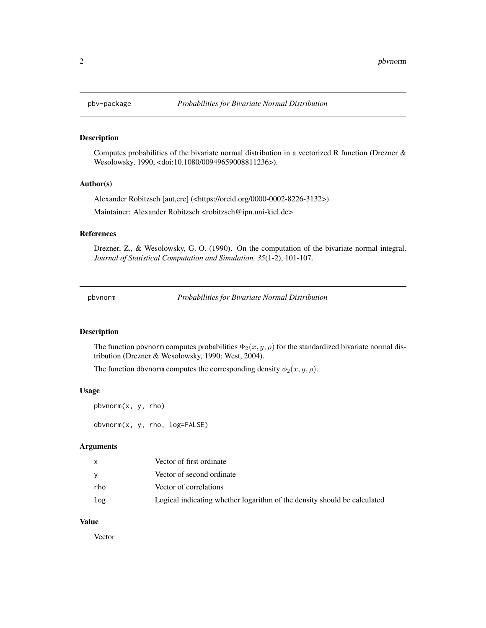<span id="page-1-0"></span>

#### Description

Computes probabilities of the bivariate normal distribution in a vectorized R function (Drezner & Wesolowsky, 1990, <doi:10.1080/00949659008811236>).

#### Author(s)

Alexander Robitzsch [aut,cre] (<https://orcid.org/0000-0002-8226-3132>) Maintainer: Alexander Robitzsch <robitzsch@ipn.uni-kiel.de>

#### References

Drezner, Z., & Wesolowsky, G. O. (1990). On the computation of the bivariate normal integral. *Journal of Statistical Computation and Simulation, 35*(1-2), 101-107.

pbvnorm *Probabilities for Bivariate Normal Distribution*

#### Description

The function pbvnorm computes probabilities  $\Phi_2(x, y, \rho)$  for the standardized bivariate normal distribution (Drezner & Wesolowsky, 1990; West, 2004).

The function dbvnorm computes the corresponding density  $\phi_2(x, y, \rho)$ .

#### Usage

pbvnorm(x, y, rho) dbvnorm(x, y, rho, log=FALSE)

#### Arguments

|     | Vector of first ordinate                                                 |
|-----|--------------------------------------------------------------------------|
|     | Vector of second ordinate                                                |
| rho | Vector of correlations                                                   |
| log | Logical indicating whether logarithm of the density should be calculated |

#### Value

Vector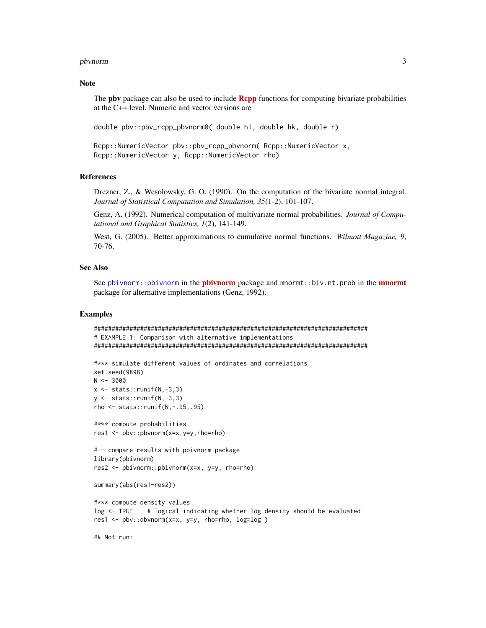#### <span id="page-2-0"></span>pbvnorm 3

#### Note

The pbv package can also be used to include **[Rcpp](https://CRAN.R-project.org/package=Rcpp)** functions for computing bivariate probabilities at the C++ level. Numeric and vector versions are

double pbv::pbv\_rcpp\_pbvnorm0( double h1, double hk, double r)

```
Rcpp::NumericVector pbv::pbv_rcpp_pbvnorm( Rcpp::NumericVector x,
Rcpp::NumericVector y, Rcpp::NumericVector rho)
```
#### References

Drezner, Z., & Wesolowsky, G. O. (1990). On the computation of the bivariate normal integral. *Journal of Statistical Computation and Simulation, 35*(1-2), 101-107.

Genz, A. (1992). Numerical computation of multivariate normal probabilities. *Journal of Computational and Graphical Statistics, 1*(2), 141-149.

West, G. (2005). Better approximations to cumulative normal functions. *Wilmott Magazine, 9*, 70-76.

#### See Also

See [pbivnorm::pbivnorm](#page-0-0) in the [pbivnorm](https://CRAN.R-project.org/package=pbivnorm) package and [mnormt](https://CRAN.R-project.org/package=mnormt)::biv.nt.prob in the mnormt package for alternative implementations (Genz, 1992).

#### Examples

```
#############################################################################
# EXAMPLE 1: Comparison with alternative implementations
#############################################################################
```

```
#*** simulate different values of ordinates and correlations
set.seed(9898)
N < -3000x \leftarrow stats:: runif(N, -3,3)
y \le - stats:: runif(N, -3,3)
rho <- stats::runif(N,-.95,.95)
```
#\*\*\* compute probabilities res1 <- pbv::pbvnorm(x=x,y=y,rho=rho)

```
#-- compare results with pbivnorm package
library(pbivnorm)
res2 <- pbivnorm::pbivnorm(x=x, y=y, rho=rho)
```

```
summary(abs(res1-res2))
```

```
#*** compute density values
log <- TRUE # logical indicating whether log density should be evaluated
res1 <- pbv::dbvnorm(x=x, y=y, rho=rho, log=log )
```
## Not run: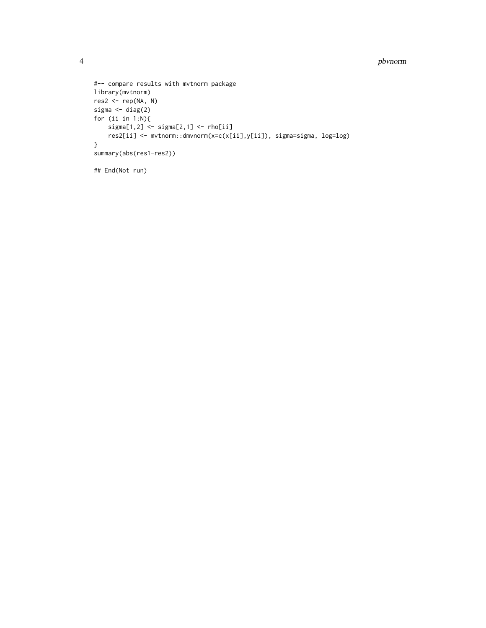#### 4 pbvnorm

```
#-- compare results with mvtnorm package
library(mvtnorm)
res2 <- rep(NA, N)
sigma <- diag(2)
for (ii in 1:N){
    sigma[1,2] <- sigma[2,1] <- rho[ii]
    res2[ii] <- mvtnorm::dmvnorm(x=c(x[ii],y[ii]), sigma=sigma, log=log)
}
summary(abs(res1-res2))
## End(Not run)
```